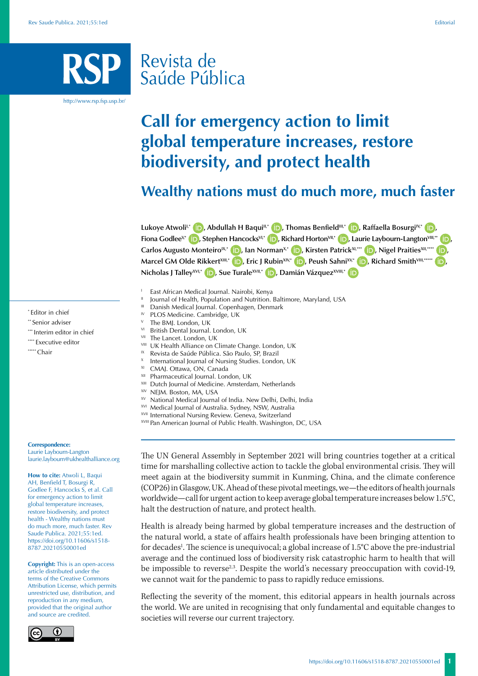# Revista de Saúde Pública

http://www.rsp.fsp.usp.br/

# **Call for emergency action to limit global temperature increases, restore biodiversity, and protect health**

# **Wealthy nations must do much more, much faster**

Lukoye Atwoli<sup>l;\*</sup> **D**[,](https://orcid.org/0000-0001-7526-6514) Abdullah H Baqui<sup>II[,](https://orcid.org/0000-0003-0698-9385)\*</sup> **D**, Thomas Benfield<sup>III,\*</sup> **D**, Raffaella Bosurgi<sup>IV,\*</sup> D **Fiona Godlee<sup>y[,](https://orcid.org/0000-0002-9681-285X)</sup> <b>i**D[,](https://orcid.org/0000-0002-6605-0794) Stephen Hancocks<sup>VI,\*</sup> **iD**, Richard Horton<sup>VII,\*</sup> **iD**, Laurie Laybourn-Langton<sup>VIII,\*\*</sup> **iD**, **Carlos Augusto Monteiro<sup>IX,\*</sup> (D)[,](https://orcid.org/0000-0002-3777-1533) Ian Norman<sup>X[,](https://orcid.org/0000-0002-8936-8471)\*</sup> (D), Kirsten Patrick<sup>XI,\*\*\*</sup> (D), Nigel Praities<sup>XII,\*\*\*\*</sup> (D), Marcel GM Olde RikkertXIII[,](https://orcid.org/0000-0001-9634-2918)\* (b)**, Eric J RubinXIV,\* **(b)**, Peush SahniXV,\* **(b)**, Richard SmithVIII,\*\*\*\* **(b)**, **Nicholas J TalleyXVI[,](https://orcid.org/0000-0003-2537-3092)\* D**[,](https://orcid.org/0000-0001-8704-5161) Sue TuraleXVII,\* **D**, Damián Vázquez<sup>XVIII,\*</sup> **D** 

- 
- I East African Medical Journal. Nairobi, Kenya<br>
II Journal of Health, Population and Nutrition. Baltimore, Maryland, USA<br>
III Danish Medical Journal. Copenhagen, Denmark<br>
IV PLOS Medicine. Cambridge, UK
- 
- 
- The BML London, UK
- VI British Dental Journal. London, UK
- VII The Lancet. London, UK
- **VIII** UK Health Alliance on Climate Change. London, UK
- <sup>IX</sup> Revista de Saúde Pública. São Paulo, SP, Brazil
- <sup>X</sup> International Journal of Nursing Studies. London, UK
- XI CMAJ. Ottawa, ON, Canada
- XII Pharmaceutical Journal. London, UK
- XIII Dutch Journal of Medicine. Amsterdam, Netherlands<br>XIV NEJM. Boston, MA, USA
- 
- XV National Medical Journal of India. New Delhi, Delhi, India
- <sup>XVI</sup> Medical Journal of Australia. Sydney, NSW, Australia<br><sup>XVII</sup> International Nursing Review. Geneva, Switzerland
- 
- XVIII Pan American Journal of Public Health. Washington, DC, USA

The UN General Assembly in September 2021 will bring countries together at a critical time for marshalling collective action to tackle the global environmental crisis. They will meet again at the biodiversity summit in Kunming, China, and the climate conference (COP26) in Glasgow, UK. Ahead of these pivotal meetings, we—the editors of health journals worldwide—call for urgent action to keep average global temperature increases below 1.5°C, halt the destruction of nature, and protect health.

Health is already being harmed by global temperature increases and the destruction of the natural world, a state of affairs health professionals have been bringing attention to for decades<sup>1</sup>. The science is unequivocal; a global increase of 1.5°C above the pre-industrial average and the continued loss of biodiversity risk catastrophic harm to health that will be impossible to reverse<sup>2,3</sup>. Despite the world's necessary preoccupation with covid-19, we cannot wait for the pandemic to pass to rapidly reduce emissions.

Reflecting the severity of the moment, this editorial appears in health journals across the world. We are united in recognising that only fundamental and equitable changes to societies will reverse our current trajectory.

\* Editor in chief

- \*\* Senior adviser
- \*\*\* Interim editor in chief
- \*\*\*\* Executive editor
- \*\*\*\*\* Chair

#### **Correspondence:**

Laurie Laybourn-Langton laurie.laybourn@ukhealthalliance.org

**How to cite:** Atwoli L, Baqui AH, Benfield T, Bosurgi R, Godlee F, Hancocks S, et al. Call for emergency action to limit global temperature increases, restore biodiversity, and protect health - Wealthy nations must do much more, much faster. Rev Saude Publica. 2021;55:1ed. https://doi.org/10.11606/s1518- 8787.20210550001ed

**Copyright:** This is an open-access article distributed under the terms of the Creative Commons Attribution License, which permits unrestricted use, distribution, and reproduction in any medium, provided that the original author and source are credited.

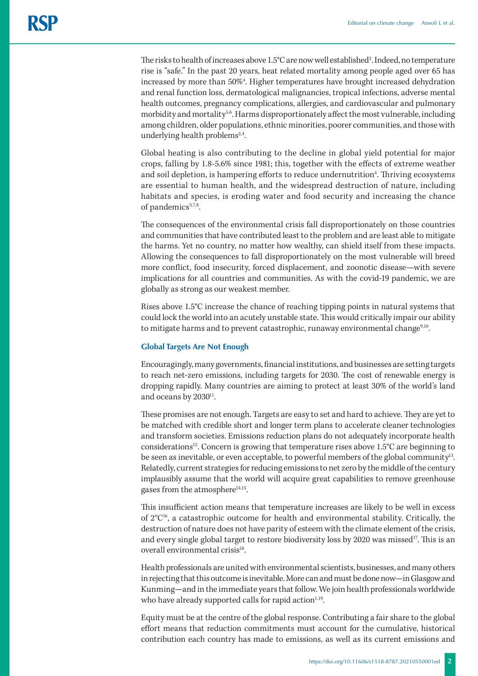The risks to health of increases above 1.5°C are now well established<sup>2</sup>. Indeed, no temperature rise is "safe." In the past 20 years, heat related mortality among people aged over 65 has increased by more than 50%<sup>4</sup>. Higher temperatures have brought increased dehydration and renal function loss, dermatological malignancies, tropical infections, adverse mental health outcomes, pregnancy complications, allergies, and cardiovascular and pulmonary morbidity and mortality<sup>5,6</sup>. Harms disproportionately affect the most vulnerable, including among children, older populations, ethnic minorities, poorer communities, and those with underlying health problems $2,4$ .

Global heating is also contributing to the decline in global yield potential for major crops, falling by 1.8-5.6% since 1981; this, together with the effects of extreme weather and soil depletion, is hampering efforts to reduce undernutrition<sup>4</sup>. Thriving ecosystems are essential to human health, and the widespread destruction of nature, including habitats and species, is eroding water and food security and increasing the chance of pandemics<sup>3,7,8</sup>.

The consequences of the environmental crisis fall disproportionately on those countries and communities that have contributed least to the problem and are least able to mitigate the harms. Yet no country, no matter how wealthy, can shield itself from these impacts. Allowing the consequences to fall disproportionately on the most vulnerable will breed more conflict, food insecurity, forced displacement, and zoonotic disease—with severe implications for all countries and communities. As with the covid-19 pandemic, we are globally as strong as our weakest member.

Rises above 1.5°C increase the chance of reaching tipping points in natural systems that could lock the world into an acutely unstable state. This would critically impair our ability to mitigate harms and to prevent catastrophic, runaway environmental change<sup>9,10</sup>.

### **Global Targets Are Not Enough**

Encouragingly, many governments, financial institutions, and businesses are setting targets to reach net-zero emissions, including targets for 2030. The cost of renewable energy is dropping rapidly. Many countries are aiming to protect at least 30% of the world's land and oceans by 2030<sup>11</sup>.

These promises are not enough. Targets are easy to set and hard to achieve. They are yet to be matched with credible short and longer term plans to accelerate cleaner technologies and transform societies. Emissions reduction plans do not adequately incorporate health considerations<sup>12</sup>. Concern is growing that temperature rises above  $1.5^{\circ}$ C are beginning to be seen as inevitable, or even acceptable, to powerful members of the global community<sup>13</sup>. Relatedly, current strategies for reducing emissions to net zero by the middle of the century implausibly assume that the world will acquire great capabilities to remove greenhouse gases from the atmosphere<sup>14,15</sup>.

This insufficient action means that temperature increases are likely to be well in excess of  $2^{\circ}C^{16}$ , a catastrophic outcome for health and environmental stability. Critically, the destruction of nature does not have parity of esteem with the climate element of the crisis, and every single global target to restore biodiversity loss by 2020 was missed<sup>17</sup>. This is an overall environmental crisis<sup>18</sup>.

Health professionals are united with environmental scientists, businesses, and many others in rejecting that this outcome is inevitable. More can and must be done now—in Glasgow and Kunming—and in the immediate years that follow. We join health professionals worldwide who have already supported calls for rapid action<sup>1,19</sup>.

Equity must be at the centre of the global response. Contributing a fair share to the global effort means that reduction commitments must account for the cumulative, historical contribution each country has made to emissions, as well as its current emissions and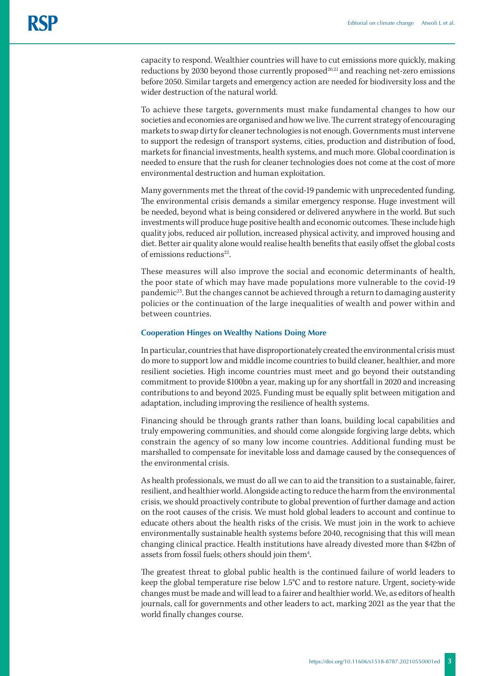capacity to respond. Wealthier countries will have to cut emissions more quickly, making reductions by 2030 beyond those currently proposed $^{20,21}$  and reaching net-zero emissions before 2050. Similar targets and emergency action are needed for biodiversity loss and the wider destruction of the natural world.

To achieve these targets, governments must make fundamental changes to how our societies and economies are organised and how we live. The current strategy of encouraging markets to swap dirty for cleaner technologies is not enough. Governments must intervene to support the redesign of transport systems, cities, production and distribution of food, markets for financial investments, health systems, and much more. Global coordination is needed to ensure that the rush for cleaner technologies does not come at the cost of more environmental destruction and human exploitation.

Many governments met the threat of the covid-19 pandemic with unprecedented funding. The environmental crisis demands a similar emergency response. Huge investment will be needed, beyond what is being considered or delivered anywhere in the world. But such investments will produce huge positive health and economic outcomes. These include high quality jobs, reduced air pollution, increased physical activity, and improved housing and diet. Better air quality alone would realise health benefits that easily offset the global costs of emissions reductions $22$ .

These measures will also improve the social and economic determinants of health, the poor state of which may have made populations more vulnerable to the covid-19 pandemic<sup>23</sup>. But the changes cannot be achieved through a return to damaging austerity policies or the continuation of the large inequalities of wealth and power within and between countries.

## **Cooperation Hinges on Wealthy Nations Doing More**

In particular, countries that have disproportionately created the environmental crisis must do more to support low and middle income countries to build cleaner, healthier, and more resilient societies. High income countries must meet and go beyond their outstanding commitment to provide \$100bn a year, making up for any shortfall in 2020 and increasing contributions to and beyond 2025. Funding must be equally split between mitigation and adaptation, including improving the resilience of health systems.

Financing should be through grants rather than loans, building local capabilities and truly empowering communities, and should come alongside forgiving large debts, which constrain the agency of so many low income countries. Additional funding must be marshalled to compensate for inevitable loss and damage caused by the consequences of the environmental crisis.

As health professionals, we must do all we can to aid the transition to a sustainable, fairer, resilient, and healthier world. Alongside acting to reduce the harm from the environmental crisis, we should proactively contribute to global prevention of further damage and action on the root causes of the crisis. We must hold global leaders to account and continue to educate others about the health risks of the crisis. We must join in the work to achieve environmentally sustainable health systems before 2040, recognising that this will mean changing clinical practice. Health institutions have already divested more than \$42bn of assets from fossil fuels; others should join them<sup>4</sup>. .

The greatest threat to global public health is the continued failure of world leaders to keep the global temperature rise below 1.5°C and to restore nature. Urgent, society-wide changes must be made and will lead to a fairer and healthier world. We, as editors of health journals, call for governments and other leaders to act, marking 2021 as the year that the world finally changes course.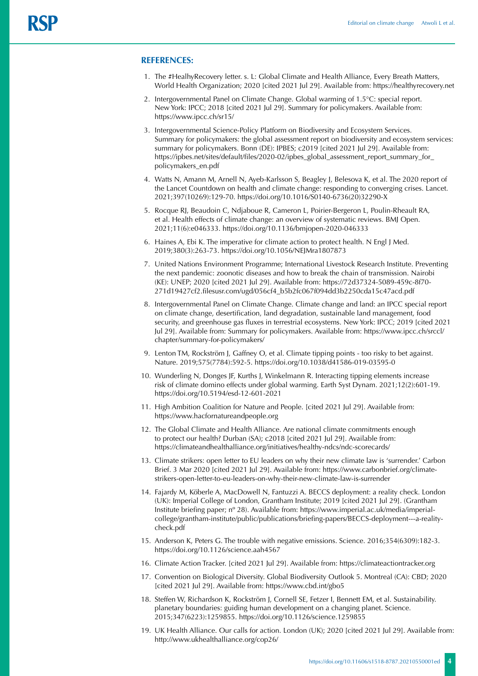### **REFERENCES:**

- 1. The #HealhyRecovery letter. s. L: Global Climate and Health Alliance, Every Breath Matters, World Health Organization; 2020 [cited 2021 Jul 29]. Available from: <https://healthyrecovery.net>
- 2. Intergovernmental Panel on Climate Change. Global warming of 1.5°C: special report. New York: IPCC; 2018 [cited 2021 Jul 29]. Summary for policymakers. Available from: https://www.ipcc.ch/sr15/
- 3. Intergovernmental Science-Policy Platform on Biodiversity and Ecosystem Services. Summary for policymakers: the global assessment report on biodiversity and ecosystem services: summary for policymakers. Bonn (DE): IPBES; c2019 [cited 2021 Jul 29]. Available from: https://ipbes.net/sites/default/files/2020-02/ipbes\_global\_assessment\_report\_summary\_for\_ policymakers\_en.pdf
- 4. Watts N, Amann M, Arnell N, Ayeb-Karlsson S, Beagley J, Belesova K, et al. The 2020 report of the Lancet Countdown on health and climate change: responding to converging crises. Lancet. 2021;397(10269):129-70. https://doi.org/10.1016/S0140-6736(20)32290-X
- 5. Rocque RJ, Beaudoin C, Ndjaboue R, Cameron L, Poirier-Bergeron L, Poulin-Rheault RA, et al. Health effects of climate change: an overview of systematic reviews. BMJ Open. 2021;11(6):e046333. https://doi.org/10.1136/bmjopen-2020-046333
- 6. Haines A, Ebi K. The imperative for climate action to protect health. N Engl J Med. 2019;380(3):263-73. https://doi.org/10.1056/NEJMra1807873
- 7. United Nations Environment Programme; International Livestock Research Institute. Preventing the next pandemic: zoonotic diseases and how to break the chain of transmission. Nairobi (KE): UNEP; 2020 [cited 2021 Jul 29]. Available from: [https://72d37324-5089-459c-8f70-](https://72d37324-5089-459c-8f70-271d19427cf2.filesusr.com/ugd/056cf4_b5b2fc067f094dd3b2250cda15c47acd.pdf) [271d19427cf2.filesusr.com/ugd/056cf4\\_b5b2fc067f094dd3b2250cda15c47acd.pdf](https://72d37324-5089-459c-8f70-271d19427cf2.filesusr.com/ugd/056cf4_b5b2fc067f094dd3b2250cda15c47acd.pdf)
- 8. Intergovernmental Panel on Climate Change. Climate change and land: an IPCC special report on climate change, desertification, land degradation, sustainable land management, food security, and greenhouse gas fluxes in terrestrial ecosystems. New York: IPCC; 2019 [cited 2021 Jul 29]. Available from: Summary for policymakers. Available from: https://www.ipcc.ch/srccl/ chapter/summary-for-policymakers/
- 9. Lenton TM, Rockström J, Gaffney O, et al. Climate tipping points too risky to bet against. Nature. 2019;575(7784):592-5. https://doi.org/10.1038/d41586-019-03595-0
- 10. Wunderling N, Donges JF, Kurths J, Winkelmann R. Interacting tipping elements increase risk of climate domino effects under global warming. Earth Syst Dynam. 2021;12(2):601-19. https://doi.org/10.5194/esd-12-601-2021
- 11. High Ambition Coalition for Nature and People. [cited 2021 Jul 29]. Available from: <https://www.hacfornatureandpeople.org>
- 12. The Global Climate and Health Alliance. Are national climate commitments enough to protect our health? Durban (SA); c2018 [cited 2021 Jul 29]. Available from: https://climateandhealthalliance.org/initiatives/healthy-ndcs/ndc-scorecards/
- 13. Climate strikers: open letter to EU leaders on why their new climate law is 'surrender.' Carbon Brief. 3 Mar 2020 [cited 2021 Jul 29]. Available from: https://www.carbonbrief.org/climatestrikers-open-letter-to-eu-leaders-on-why-their-new-climate-law-is-surrender
- 14. Fajardy M, Köberle A, MacDowell N, Fantuzzi A. BECCS deployment: a reality check. London (UK): Imperial College of London, Grantham Institute; 2019 [cited 2021 Jul 29]. (Grantham Institute briefing paper; nº 28). Available from: https://www.imperial.ac.uk/media/imperialcollege/grantham-institute/public/publications/briefing-papers/BECCS-deployment---a-realitycheck.pdf
- 15. Anderson K, Peters G. The trouble with negative emissions. Science. 2016;354(6309):182-3. https://doi.org/10.1126/science.aah4567
- 16. Climate Action Tracker. [cited 2021 Jul 29]. Available from:<https://climateactiontracker.org>
- 17. Convention on Biological Diversity. Global Biodiversity Outlook 5. Montreal (CA): CBD; 2020 [cited 2021 Jul 29]. Available from:<https://www.cbd.int/gbo5>
- 18. Steffen W, Richardson K, Rockström J, Cornell SE, Fetzer I, Bennett EM, et al. Sustainability. planetary boundaries: guiding human development on a changing planet. Science. 2015;347(6223):1259855. https://doi.org/10.1126/science.1259855
- 19. UK Health Alliance. Our calls for action. London (UK); 2020 [cited 2021 Jul 29]. Available from: http://www.ukhealthalliance.org/cop26/